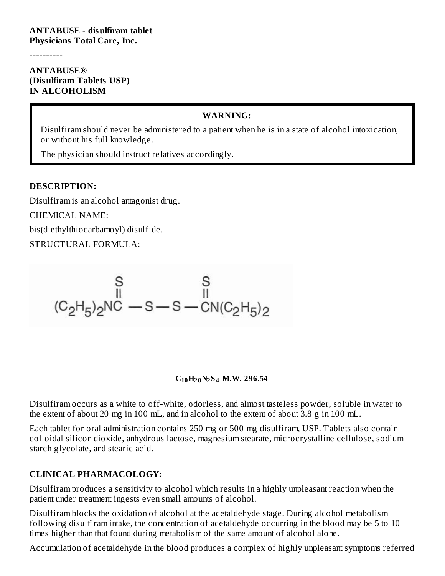----------

#### **ANTABUSE® (Disulfiram Tablets USP) IN ALCOHOLISM**

### **WARNING:**

Disulfiram should never be administered to a patient when he is in a state of alcohol intoxication, or without his full knowledge.

The physician should instruct relatives accordingly.

#### **DESCRIPTION:**

Disulfiram is an alcohol antagonist drug. CHEMICAL NAME: bis(diethylthiocarbamoyl) disulfide. STRUCTURAL FORMULA:



#### $C_{10}H_{20}N_2S_4$  M.W. 296.54

Disulfiram occurs as a white to off-white, odorless, and almost tasteless powder, soluble in water to the extent of about 20 mg in 100 mL, and in alcohol to the extent of about 3.8 g in 100 mL.

Each tablet for oral administration contains 250 mg or 500 mg disulfiram, USP. Tablets also contain colloidal silicon dioxide, anhydrous lactose, magnesium stearate, microcrystalline cellulose, sodium starch glycolate, and stearic acid.

#### **CLINICAL PHARMACOLOGY:**

Disulfiram produces a sensitivity to alcohol which results in a highly unpleasant reaction when the patient under treatment ingests even small amounts of alcohol.

Disulfiram blocks the oxidation of alcohol at the acetaldehyde stage. During alcohol metabolism following disulfiram intake, the concentration of acetaldehyde occurring in the blood may be 5 to 10 times higher than that found during metabolism of the same amount of alcohol alone.

Accumulation of acetaldehyde in the blood produces a complex of highly unpleasant symptoms referred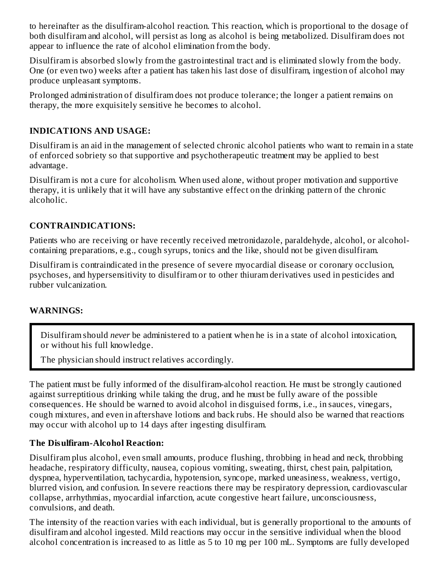to hereinafter as the disulfiram-alcohol reaction. This reaction, which is proportional to the dosage of both disulfiram and alcohol, will persist as long as alcohol is being metabolized. Disulfiram does not appear to influence the rate of alcohol elimination from the body.

Disulfiram is absorbed slowly from the gastrointestinal tract and is eliminated slowly from the body. One (or even two) weeks after a patient has taken his last dose of disulfiram, ingestion of alcohol may produce unpleasant symptoms.

Prolonged administration of disulfiram does not produce tolerance; the longer a patient remains on therapy, the more exquisitely sensitive he becomes to alcohol.

### **INDICATIONS AND USAGE:**

Disulfiram is an aid in the management of selected chronic alcohol patients who want to remain in a state of enforced sobriety so that supportive and psychotherapeutic treatment may be applied to best advantage.

Disulfiram is not a cure for alcoholism. When used alone, without proper motivation and supportive therapy, it is unlikely that it will have any substantive effect on the drinking pattern of the chronic alcoholic.

### **CONTRAINDICATIONS:**

Patients who are receiving or have recently received metronidazole, paraldehyde, alcohol, or alcoholcontaining preparations, e.g., cough syrups, tonics and the like, should not be given disulfiram.

Disulfiram is contraindicated in the presence of severe myocardial disease or coronary occlusion, psychoses, and hypersensitivity to disulfiram or to other thiuram derivatives used in pesticides and rubber vulcanization.

#### **WARNINGS:**

Disulfiram should *never* be administered to a patient when he is in a state of alcohol intoxication, or without his full knowledge.

The physician should instruct relatives accordingly.

The patient must be fully informed of the disulfiram-alcohol reaction. He must be strongly cautioned against surreptitious drinking while taking the drug, and he must be fully aware of the possible consequences. He should be warned to avoid alcohol in disguised forms, i.e., in sauces, vinegars, cough mixtures, and even in aftershave lotions and back rubs. He should also be warned that reactions may occur with alcohol up to 14 days after ingesting disulfiram.

#### **The Disulfiram-Alcohol Reaction:**

Disulfiram plus alcohol, even small amounts, produce flushing, throbbing in head and neck, throbbing headache, respiratory difficulty, nausea, copious vomiting, sweating, thirst, chest pain, palpitation, dyspnea, hyperventilation, tachycardia, hypotension, syncope, marked uneasiness, weakness, vertigo, blurred vision, and confusion. In severe reactions there may be respiratory depression, cardiovascular collapse, arrhythmias, myocardial infarction, acute congestive heart failure, unconsciousness, convulsions, and death.

The intensity of the reaction varies with each individual, but is generally proportional to the amounts of disulfiram and alcohol ingested. Mild reactions may occur in the sensitive individual when the blood alcohol concentration is increased to as little as 5 to 10 mg per 100 mL. Symptoms are fully developed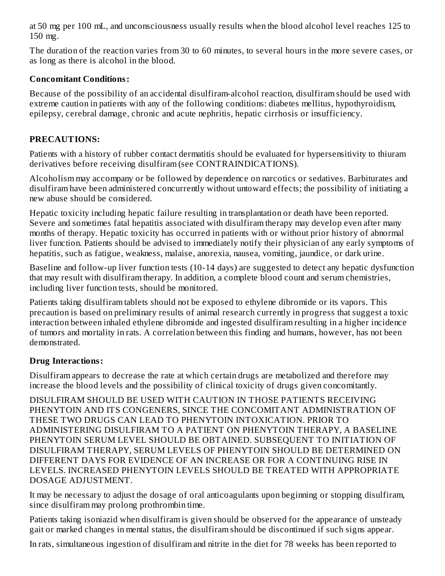at 50 mg per 100 mL, and unconsciousness usually results when the blood alcohol level reaches 125 to 150 mg.

The duration of the reaction varies from 30 to 60 minutes, to several hours in the more severe cases, or as long as there is alcohol in the blood.

#### **Concomitant Conditions:**

Because of the possibility of an accidental disulfiram-alcohol reaction, disulfiram should be used with extreme caution in patients with any of the following conditions: diabetes mellitus, hypothyroidism, epilepsy, cerebral damage, chronic and acute nephritis, hepatic cirrhosis or insufficiency.

## **PRECAUTIONS:**

Patients with a history of rubber contact dermatitis should be evaluated for hypersensitivity to thiuram derivatives before receiving disulfiram (see CONTRAINDICATIONS).

Alcoholism may accompany or be followed by dependence on narcotics or sedatives. Barbiturates and disulfiram have been administered concurrently without untoward effects; the possibility of initiating a new abuse should be considered.

Hepatic toxicity including hepatic failure resulting in transplantation or death have been reported. Severe and sometimes fatal hepatitis associated with disulfiram therapy may develop even after many months of therapy. Hepatic toxicity has occurred in patients with or without prior history of abnormal liver function. Patients should be advised to immediately notify their physician of any early symptoms of hepatitis, such as fatigue, weakness, malaise, anorexia, nausea, vomiting, jaundice, or dark urine.

Baseline and follow-up liver function tests (10-14 days) are suggested to detect any hepatic dysfunction that may result with disulfiram therapy. In addition, a complete blood count and serum chemistries, including liver function tests, should be monitored.

Patients taking disulfiram tablets should not be exposed to ethylene dibromide or its vapors. This precaution is based on preliminary results of animal research currently in progress that suggest a toxic interaction between inhaled ethylene dibromide and ingested disulfiram resulting in a higher incidence of tumors and mortality in rats. A correlation between this finding and humans, however, has not been demonstrated.

## **Drug Interactions:**

Disulfiram appears to decrease the rate at which certain drugs are metabolized and therefore may increase the blood levels and the possibility of clinical toxicity of drugs given concomitantly.

DISULFIRAM SHOULD BE USED WITH CAUTION IN THOSE PATIENTS RECEIVING PHENYTOIN AND ITS CONGENERS, SINCE THE CONCOMITANT ADMINISTRATION OF THESE TWO DRUGS CAN LEAD TO PHENYTOIN INTOXICATION. PRIOR TO ADMINISTERING DISULFIRAM TO A PATIENT ON PHENYTOIN THERAPY, A BASELINE PHENYTOIN SERUM LEVEL SHOULD BE OBTAINED. SUBSEQUENT TO INITIATION OF DISULFIRAM THERAPY, SERUM LEVELS OF PHENYTOIN SHOULD BE DETERMINED ON DIFFERENT DAYS FOR EVIDENCE OF AN INCREASE OR FOR A CONTINUING RISE IN LEVELS. INCREASED PHENYTOIN LEVELS SHOULD BE TREATED WITH APPROPRIATE DOSAGE ADJUSTMENT.

It may be necessary to adjust the dosage of oral anticoagulants upon beginning or stopping disulfiram, since disulfiram may prolong prothrombin time.

Patients taking isoniazid when disulfiram is given should be observed for the appearance of unsteady gait or marked changes in mental status, the disulfiram should be discontinued if such signs appear.

In rats, simultaneous ingestion of disulfiram and nitrite in the diet for 78 weeks has been reported to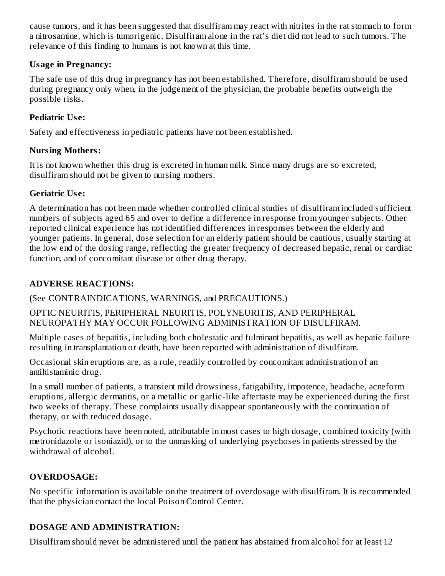cause tumors, and it has been suggested that disulfiram may react with nitrites in the rat stomach to form a nitrosamine, which is tumorigenic. Disulfiram alone in the rat's diet did not lead to such tumors. The relevance of this finding to humans is not known at this time.

### **Usage in Pregnancy:**

The safe use of this drug in pregnancy has not been established. Therefore, disulfiram should be used during pregnancy only when, in the judgement of the physician, the probable benefits outweigh the possible risks.

## **Pediatric Us e:**

Safety and effectiveness in pediatric patients have not been established.

## **Nursing Mothers:**

It is not known whether this drug is excreted in human milk. Since many drugs are so excreted, disulfiram should not be given to nursing mothers.

## **Geriatric Us e:**

A determination has not been made whether controlled clinical studies of disulfiram included sufficient numbers of subjects aged 65 and over to define a difference in response from younger subjects. Other reported clinical experience has not identified differences in responses between the elderly and younger patients. In general, dose selection for an elderly patient should be cautious, usually starting at the low end of the dosing range, reflecting the greater frequency of decreased hepatic, renal or cardiac function, and of concomitant disease or other drug therapy.

# **ADVERSE REACTIONS:**

(See CONTRAINDICATIONS, WARNINGS, and PRECAUTIONS.)

### OPTIC NEURITIS, PERIPHERAL NEURITIS, POLYNEURITIS, AND PERIPHERAL NEUROPATHY MAY OCCUR FOLLOWING ADMINISTRATION OF DISULFIRAM.

Multiple cases of hepatitis, including both cholestatic and fulminant hepatitis, as well as hepatic failure resulting in transplantation or death, have been reported with administration of disulfiram.

Occasional skin eruptions are, as a rule, readily controlled by concomitant administration of an antihistaminic drug.

In a small number of patients, a transient mild drowsiness, fatigability, impotence, headache, acneform eruptions, allergic dermatitis, or a metallic or garlic-like aftertaste may be experienced during the first two weeks of therapy. These complaints usually disappear spontaneously with the continuation of therapy, or with reduced dosage.

Psychotic reactions have been noted, attributable in most cases to high dosage, combined toxicity (with metronidazole or isoniazid), or to the unmasking of underlying psychoses in patients stressed by the withdrawal of alcohol.

# **OVERDOSAGE:**

No specific information is available on the treatment of overdosage with disulfiram. It is recommended that the physician contact the local Poison Control Center.

## **DOSAGE AND ADMINISTRATION:**

Disulfiram should never be administered until the patient has abstained from alcohol for at least 12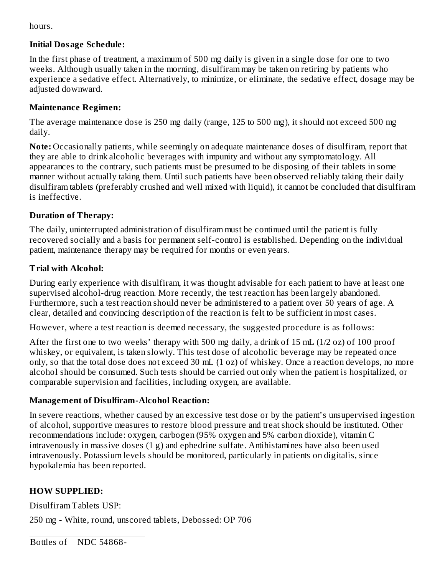hours.

## **Initial Dosage Schedule:**

In the first phase of treatment, a maximum of 500 mg daily is given in a single dose for one to two weeks. Although usually taken in the morning, disulfiram may be taken on retiring by patients who experience a sedative effect. Alternatively, to minimize, or eliminate, the sedative effect, dosage may be adjusted downward.

#### **Maintenance Regimen:**

The average maintenance dose is 250 mg daily (range, 125 to 500 mg), it should not exceed 500 mg daily.

**Note:** Occasionally patients, while seemingly on adequate maintenance doses of disulfiram, report that they are able to drink alcoholic beverages with impunity and without any symptomatology. All appearances to the contrary, such patients must be presumed to be disposing of their tablets in some manner without actually taking them. Until such patients have been observed reliably taking their daily disulfiram tablets (preferably crushed and well mixed with liquid), it cannot be concluded that disulfiram is ineffective.

### **Duration of Therapy:**

The daily, uninterrupted administration of disulfiram must be continued until the patient is fully recovered socially and a basis for permanent self-control is established. Depending on the individual patient, maintenance therapy may be required for months or even years.

## **Trial with Alcohol:**

During early experience with disulfiram, it was thought advisable for each patient to have at least one supervised alcohol-drug reaction. More recently, the test reaction has been largely abandoned. Furthermore, such a test reaction should never be administered to a patient over 50 years of age. A clear, detailed and convincing description of the reaction is felt to be sufficient in most cases.

However, where a test reaction is deemed necessary, the suggested procedure is as follows:

After the first one to two weeks' therapy with 500 mg daily, a drink of 15 mL (1/2 oz) of 100 proof whiskey, or equivalent, is taken slowly. This test dose of alcoholic beverage may be repeated once only, so that the total dose does not exceed 30 mL (1 oz) of whiskey. Once a reaction develops, no more alcohol should be consumed. Such tests should be carried out only when the patient is hospitalized, or comparable supervision and facilities, including oxygen, are available.

#### **Management of Disulfiram-Alcohol Reaction:**

In severe reactions, whether caused by an excessive test dose or by the patient's unsupervised ingestion of alcohol, supportive measures to restore blood pressure and treat shock should be instituted. Other recommendations include: oxygen, carbogen (95% oxygen and 5% carbon dioxide), vitamin C intravenously in massive doses (1 g) and ephedrine sulfate. Antihistamines have also been used intravenously. Potassium levels should be monitored, particularly in patients on digitalis, since hypokalemia has been reported.

## **HOW SUPPLIED:**

Disulfiram Tablets USP:

250 mg - White, round, unscored tablets, Debossed: OP 706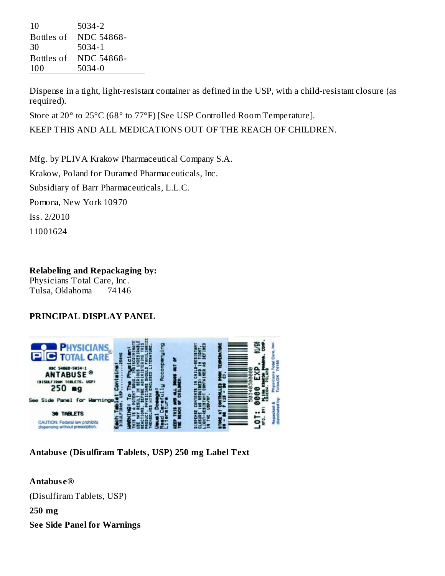10 5034-2 Bottles of NDC 54868- 30 5034-1 Bottles of NDC 54868- 100 5034-0

Dispense in a tight, light-resistant container as defined in the USP, with a child-resistant closure (as required).

Store at 20° to 25°C (68° to 77°F) [See USP Controlled Room Temperature].

KEEP THIS AND ALL MEDICATIONS OUT OF THE REACH OF CHILDREN.

Mfg. by PLIVA Krakow Pharmaceutical Company S.A.

Krakow, Poland for Duramed Pharmaceuticals, Inc.

Subsidiary of Barr Pharmaceuticals, L.L.C.

Pomona, New York 10970

Iss. 2/2010

11001624

#### **Relabeling and Repackaging by:**

Physicians Total Care, Inc. Tulsa, Oklahoma 74146

## **PRINCIPAL DISPLAY PANEL**



**Antabus e (Disulfiram Tablets, USP) 250 mg Label Text**

**Antabus e®** (Disulfiram Tablets, USP) **250 mg See Side Panel for Warnings**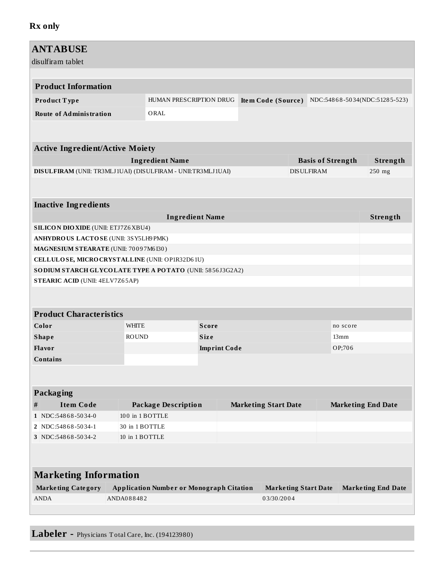| <b>ANTABUSE</b><br>disulfiram tablet                                  |                                                 |                     |                             |                                      |                           |                                                  |  |  |  |
|-----------------------------------------------------------------------|-------------------------------------------------|---------------------|-----------------------------|--------------------------------------|---------------------------|--------------------------------------------------|--|--|--|
|                                                                       |                                                 |                     |                             |                                      |                           |                                                  |  |  |  |
| <b>Product Information</b>                                            |                                                 |                     |                             |                                      |                           |                                                  |  |  |  |
| Product Type                                                          | HUMAN PRESCRIPTION DRUG                         |                     |                             |                                      |                           | Item Code (Source) NDC:54868-5034(NDC:51285-523) |  |  |  |
| <b>Route of Administration</b>                                        | ORAL                                            |                     |                             |                                      |                           |                                                  |  |  |  |
|                                                                       |                                                 |                     |                             |                                      |                           |                                                  |  |  |  |
| <b>Active Ingredient/Active Moiety</b>                                |                                                 |                     |                             |                                      |                           |                                                  |  |  |  |
| <b>Ingredient Name</b>                                                |                                                 |                     |                             | Strength<br><b>Basis of Strength</b> |                           |                                                  |  |  |  |
| DISULFIRAM (UNII: TR3MLJ1UAI) (DISULFIRAM - UNII:TR3MLJ1UAI)          |                                                 |                     |                             | <b>DISULFIRAM</b>                    | 250 mg                    |                                                  |  |  |  |
|                                                                       |                                                 |                     |                             |                                      |                           |                                                  |  |  |  |
| <b>Inactive Ingredients</b>                                           |                                                 |                     |                             |                                      |                           |                                                  |  |  |  |
|                                                                       |                                                 |                     |                             |                                      |                           | Strength                                         |  |  |  |
| <b>Ingredient Name</b><br><b>SILICON DIO XIDE (UNII: ETJ7Z6 XBU4)</b> |                                                 |                     |                             |                                      |                           |                                                  |  |  |  |
| ANHYDROUS LACTOSE (UNII: 3SY5LH9 PMK)                                 |                                                 |                     |                             |                                      |                           |                                                  |  |  |  |
| MAGNESIUM STEARATE (UNII: 70097M6I30)                                 |                                                 |                     |                             |                                      |                           |                                                  |  |  |  |
| CELLULOSE, MICRO CRYSTALLINE (UNII: OP1R32D61U)                       |                                                 |                     |                             |                                      |                           |                                                  |  |  |  |
| SODIUM STARCH GLYCOLATE TYPE A POTATO (UNII: 5856J3G2A2)              |                                                 |                     |                             |                                      |                           |                                                  |  |  |  |
| STEARIC ACID (UNII: 4ELV7Z65AP)                                       |                                                 |                     |                             |                                      |                           |                                                  |  |  |  |
| <b>Product Characteristics</b>                                        |                                                 |                     |                             |                                      |                           |                                                  |  |  |  |
| Color                                                                 | <b>WHITE</b>                                    | Score               |                             |                                      |                           | no score                                         |  |  |  |
| <b>Shape</b>                                                          | <b>ROUND</b>                                    | <b>Size</b>         |                             |                                      | 13mm                      |                                                  |  |  |  |
| Flavor                                                                |                                                 | <b>Imprint Code</b> |                             |                                      | OP;706                    |                                                  |  |  |  |
| <b>Contains</b>                                                       |                                                 |                     |                             |                                      |                           |                                                  |  |  |  |
|                                                                       |                                                 |                     |                             |                                      |                           |                                                  |  |  |  |
| Packaging                                                             |                                                 |                     |                             |                                      |                           |                                                  |  |  |  |
| <b>Item Code</b><br>#                                                 | <b>Package Description</b>                      |                     | <b>Marketing Start Date</b> |                                      | <b>Marketing End Date</b> |                                                  |  |  |  |
| 1 NDC:54868-5034-0                                                    | 100 in 1 BOTTLE                                 |                     |                             |                                      |                           |                                                  |  |  |  |
| 2 NDC:54868-5034-1                                                    | 30 in 1 BOTTLE                                  |                     |                             |                                      |                           |                                                  |  |  |  |
| 3 NDC:54868-5034-2                                                    | 10 in 1 BOTTLE                                  |                     |                             |                                      |                           |                                                  |  |  |  |
|                                                                       |                                                 |                     |                             |                                      |                           |                                                  |  |  |  |
| <b>Marketing Information</b>                                          |                                                 |                     |                             |                                      |                           |                                                  |  |  |  |
| <b>Marketing Category</b>                                             | <b>Application Number or Monograph Citation</b> |                     |                             | <b>Marketing Start Date</b>          |                           | <b>Marketing End Date</b>                        |  |  |  |
| <b>ANDA</b>                                                           | ANDA088482                                      |                     | 03/30/2004                  |                                      |                           |                                                  |  |  |  |
|                                                                       |                                                 |                     |                             |                                      |                           |                                                  |  |  |  |

Labeler - Physicians Total Care, Inc. (194123980)